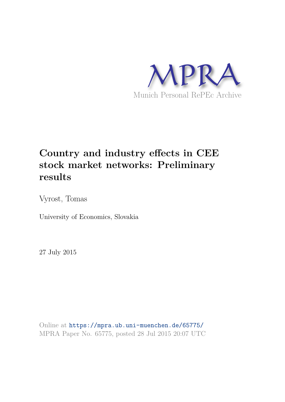

# **Country and industry effects in CEE stock market networks: Preliminary results**

Vyrost, Tomas

University of Economics, Slovakia

27 July 2015

Online at https://mpra.ub.uni-muenchen.de/65775/ MPRA Paper No. 65775, posted 28 Jul 2015 20:07 UTC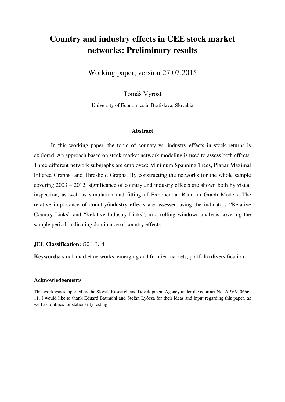# **Country and industry effects in CEE stock market networks: Preliminary results**

Working paper, version 27.07.2015

Tomáš Výrost

University of Economics in Bratislava, Slovakia

#### **Abstract**

In this working paper, the topic of country vs. industry effects in stock returns is explored. An approach based on stock market network modeling is used to assess both effects. Three different network subgraphs are employed: Minimum Spanning Trees, Planar Maximal Filtered Graphs and Threshold Graphs. By constructing the networks for the whole sample covering 2003 – 2012, significance of country and industry effects are shown both by visual inspection, as well as simulation and fitting of Exponential Random Graph Models. The relative importance of country/industry effects are assessed using the indicators "Relative Country Links" and "Relative Industry Links", in a rolling windows analysis covering the sample period, indicating dominance of country effects.

#### **JEL Classification: G01, L14**

**Keywords:** stock market networks, emerging and frontier markets, portfolio diversification.

#### **Acknowledgements**

This work was supported by the Slovak Research and Development Agency under the contract No. APVV-0666- 11. I would like to thank Eduard Baumöhl and Štefan Lyócsa for their ideas and input regarding this paper, as well as routines for stationarity testing.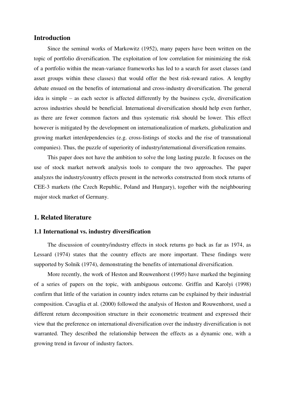#### **Introduction**

Since the seminal works of Markowitz (1952), many papers have been written on the topic of portfolio diversification. The exploitation of low correlation for minimizing the risk of a portfolio within the mean-variance frameworks has led to a search for asset classes (and asset groups within these classes) that would offer the best risk-reward ratios. A lengthy debate ensued on the benefits of international and cross-industry diversification. The general idea is simple – as each sector is affected differently by the business cycle, diversification across industries should be beneficial. International diversification should help even further, as there are fewer common factors and thus systematic risk should be lower. This effect however is mitigated by the development on internationalization of markets, globalization and growing market interdependencies (e.g. cross-listings of stocks and the rise of transnational companies). Thus, the puzzle of superiority of industry/international diversification remains.

This paper does not have the ambition to solve the long lasting puzzle. It focuses on the use of stock market network analysis tools to compare the two approaches. The paper analyzes the industry/country effects present in the networks constructed from stock returns of CEE-3 markets (the Czech Republic, Poland and Hungary), together with the neighbouring major stock market of Germany.

#### **1. Related literature**

#### **1.1 International vs. industry diversification**

The discussion of country/industry effects in stock returns go back as far as 1974, as Lessard (1974) states that the country effects are more important. These findings were supported by Solnik (1974), demonstrating the benefits of international diversification.

More recently, the work of Heston and Rouwenhorst (1995) have marked the beginning of a series of papers on the topic, with ambiguous outcome. Griffin and Karolyi (1998) confirm that little of the variation in country index returns can be explained by their industrial composition. Cavaglia et al. (2000) followed the analysis of Heston and Rouwenhorst, used a different return decomposition structure in their econometric treatment and expressed their view that the preference on international diversification over the industry diversification is not warranted. They described the relationship between the effects as a dynamic one, with a growing trend in favour of industry factors.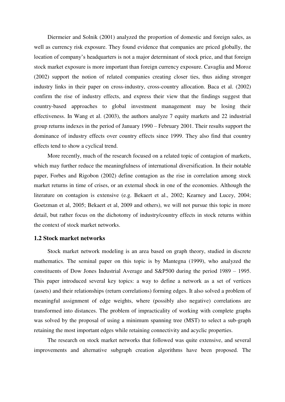Diermeier and Solnik (2001) analyzed the proportion of domestic and foreign sales, as well as currency risk exposure. They found evidence that companies are priced globally, the location of company's headquarters is not a major determinant of stock price, and that foreign stock market exposure is more important than foreign currency exposure. Cavaglia and Moroz (2002) support the notion of related companies creating closer ties, thus aiding stronger industry links in their paper on cross-industry, cross-country allocation. Baca et al. (2002) confirm the rise of industry effects, and express their view that the findings suggest that country-based approaches to global investment management may be losing their effectiveness. In Wang et al. (2003), the authors analyze 7 equity markets and 22 industrial group returns indexes in the period of January 1990 – February 2001. Their results support the dominance of industry effects over country effects since 1999. They also find that country effects tend to show a cyclical trend.

More recently, much of the research focused on a related topic of contagion of markets, which may further reduce the meaningfulness of international diversification. In their notable paper, Forbes and Rigobon (2002) define contagion as the rise in correlation among stock market returns in time of crises, or an external shock in one of the economies. Although the literature on contagion is extensive (e.g. Bekaert et al., 2002; Kearney and Lucey, 2004; Goetzman et al, 2005; Bekaert et al, 2009 and others), we will not pursue this topic in more detail, but rather focus on the dichotomy of industry/country effects in stock returns within the context of stock market networks.

#### **1.2 Stock market networks**

Stock market network modeling is an area based on graph theory, studied in discrete mathematics. The seminal paper on this topic is by Mantegna (1999), who analyzed the constituents of Dow Jones Industrial Average and S&P500 during the period 1989 – 1995. This paper introduced several key topics: a way to define a network as a set of vertices (assets) and their relationships (return correlations) forming edges. It also solved a problem of meaningful assignment of edge weights, where (possibly also negative) correlations are transformed into distances. The problem of impracticality of working with complete graphs was solved by the proposal of using a minimum spanning tree (MST) to select a sub-graph retaining the most important edges while retaining connectivity and acyclic properties.

The research on stock market networks that followed was quite extensive, and several improvements and alternative subgraph creation algorithms have been proposed. The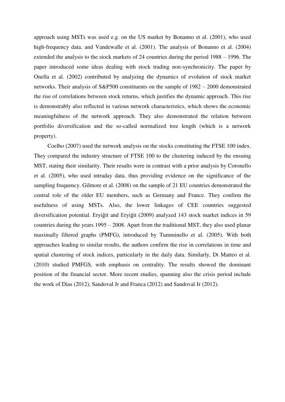approach using MSTs was used e.g. on the US market by Bonanno et al. (2001), who used high-frequency data, and Vandewalle et al. (2001). The analysis of Bonanno et al. (2004) extended the analysis to the stock markets of 24 countries during the period 1988 – 1996. The paper introduced some ideas dealing with stock trading non-synchronicity. The paper by Onella et al. (2002) contributed by analyzing the dynamics of evolution of stock market networks. Their analysis of S&P500 constituents on the sample of 1982 – 2000 demonstrated the rise of correlations between stock returns, which justifies the dynamic approach. This rise is demonstrably also reflected in various network characteristics, which shows the economic meaningfulness of the network approach. They also demonstrated the relation between portfolio diversification and the so-called normalized tree length (which is a network property).

Coelho (2007) used the network analysis on the stocks constituting the FTSE 100 index. They compared the industry structure of FTSE 100 to the clustering induced by the ensuing MST, stating their similarity. Their results were in contrast with a prior analysis by Coronello et al. (2005), who used intraday data, thus providing evidence on the significance of the sampling frequency. Gilmore et al. (2008) on the sample of 21 EU countries demonstrated the central role of the older EU members, such as Germany and France. They confirm the usefulness of using MSTs. Also, the lower linkages of CEE countries suggested diversification potential. Eryiğit and Eryiğit (2009) analyzed 143 stock market indices in 59 countries during the years 1995 – 2008. Apart from the traditional MST, they also used planar maximally filtered graphs (PMFG), introduced by Tumminello et al. (2005). With both approaches leading to similar results, the authors confirm the rise in correlations in time and spatial clustering of stock indices, particularly in the daily data. Similarly, Di Matteo et al. (2010) studied PMFGS, with emphasis on centrality. The results showed the dominant position of the financial sector. More recent studies, spanning also the crisis period include the work of Dias (2012), Sandoval Jr and Franca (2012) and Sandoval Jr (2012).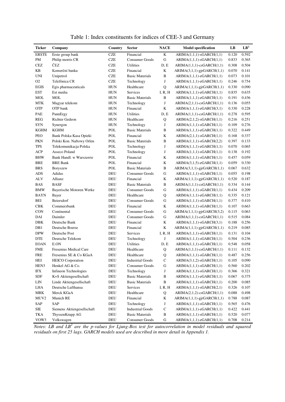| Ticker           | Company                    | <b>Country</b> | <b>Sector</b>           | <b>NACE</b>  | <b>Model specification</b>   | LB    | LB <sup>2</sup> |
|------------------|----------------------------|----------------|-------------------------|--------------|------------------------------|-------|-----------------|
| <b>ERSTE</b>     | Erste group bank           | <b>CZE</b>     | Financial               | $\rm K$      | $ARIMA(1,1,1)-sGARCH(1,1)$   | 0.120 | 0.592           |
| $\mathbf{PM}$    | Philip morris CR           | <b>CZE</b>     | Consumer Goods          | ${\bf G}$    | $ARIMA(1,1,1)-sGARCH(1,1)$   | 0.833 | 0.365           |
| $\mbox{CEZ}$     | ČEZ                        | <b>CZE</b>     | Utilities               | D, E         | $ARIMA(1,1,1)-csGARCH(1,1)$  | 0.308 | 0.504           |
| KB               | Komerční banka             | <b>CZE</b>     | Financial               | K            | $ARIMA(3,1,1)-gjrGARCH(1,1)$ | 0.070 | 0.141           |
| <b>UNI</b>       | Unipetrol                  | <b>CZE</b>     | <b>Basic Materials</b>  | B            | $ARIMA(1,1,1)-eGARCH(1,1)$   | 0.073 | 0.101           |
| O2               | Telefónica CR              | <b>CZE</b>     | Technology              | J            | $ARIMA(1,1,1)-eGARCH(1,1)$   | 0.246 | 0.754           |
| <b>EGIS</b>      | Egis pharmaceuticals       | <b>HUN</b>     | Healthcare              | Q            | $ARIMA(1,1,1)-gjrGARCH(1,1)$ | 0.330 | 0.090           |
| <b>EST</b>       | Est media                  | <b>HUN</b>     | Services                | I, R, H      | $ARIMA(1,1,1)-eGARCH(1,1)$   | 0.835 | 0.635           |
| $_{\rm MOL}$     | <b>MOL</b>                 | <b>HUN</b>     | <b>Basic Materials</b>  | $\, {\bf B}$ | $ARIMA(1,1,1)-eGARCH(1,1)$   | 0.191 | 0.436           |
| <b>MTK</b>       | Magyar telekom             | <b>HUN</b>     | Technology              | ${\bf J}$    | $ARIMA(2,1,1)-csGARCH(1,1)$  | 0.136 | 0.055           |
| <b>OTP</b>       | OTP bank                   | <b>HUN</b>     | Financial               | $\bf K$      | $ARIMA(1,1,1)-eGARCH(3,1)$   | 0.330 | 0.228           |
| PAE              | PannErgy                   | <b>HUN</b>     | Utilities               | D, E         | $ARIMA(1,1,1)-csGARCH(1,1)$  | 0.278 | 0.595           |
| <b>REG</b>       | Richter Gedeon             | HUN            | Healthcare              | $\bf Q$      | $ARIMA(2,1,2)-sGARCH(1,1)$   | 0.216 | 0.251           |
| <b>SYN</b>       | Synergon                   | HUN            | Technology              | $\bf J$      | $ARIMA(1,1,1)-sGARCH(1,1)$   | 0.109 | 0.276           |
| <b>KGHM</b>      | <b>KGHM</b>                | POL            | <b>Basic Materials</b>  | $\, {\bf B}$ | $ARIMA(1,1,1)-eGARCH(1,1)$   | 0.322 | 0.449           |
| PEO              | Bank Polska Kasa Opieki    | POL            | Financial               | $\bf K$      | $ARIMA(2,1,1)-sGARCH(1,1)$   | 0.168 | 0.337           |
| <b>PKN</b>       | Polski Kon. Naftowy Orlen  | POL            | <b>Basic Materials</b>  | $\, {\bf B}$ | $ARIMA(1,1,1)-sGARCH(2,2)$   | 0.397 | 0.133           |
| <b>TPS</b>       | Telekomunikacja Polska     | <b>POL</b>     | Technology              | J            | $ARIMA(1,1,1)-eGARCH(1,1)$   | 0.070 | 0.065           |
| <b>ACP</b>       | Asseco Poland              | <b>POL</b>     | Technology              | ${\bf J}$    | $ARIMA(1,1,1)-sGARCH(1,1)$   | 0.138 | 0.192           |
| <b>BHW</b>       | Bank Handl. w Warszawie    | POL            | Financial               | K            | $ARIMA(1,1,1)-sGARCH(1,1)$   | 0.457 | 0.059           |
| <b>BRE</b>       | <b>BRE Bank</b>            | POL            | Financial               | $\bf K$      | $ARIMA(3,1,5)-eGARCH(1,1)$   | 0.059 | 0.330           |
| <b>BRS</b>       | Boryszew                   | POL            | <b>Basic Materials</b>  | $\, {\bf B}$ | $ARIMA(3,1,1)-gjrGARCH(1,1)$ | 0.067 | 0.632           |
| <b>ADS</b>       | Adidas                     | <b>DEU</b>     | <b>Consumer Goods</b>   | $\mathbf G$  | $ARIMA(1,1,1)-sGARCH(1,1)$   | 0.055 | 0.198           |
| <b>ALV</b>       | Allianz                    | DEU            | Financial               | K            | $ARIMA(1,1,1)-gjrGARCH(1,1)$ | 0.520 | 0.187           |
| <b>BAS</b>       | <b>BASF</b>                | DEU            | <b>Basic Materials</b>  | $\, {\bf B}$ | $ARIMA(1,1,1)-csGARCH(1,1)$  | 0.334 | 0.144           |
| <b>BMW</b>       | Bayerische Motoren Werke   | DEU            | Consumer Goods          | G            | $ARIMA(1,1,1)-sGARCH(1,1)$   | 0.434 | 0.209           |
| <b>BAYN</b>      | Bayer                      | DEU            | Healthcare              | Q            | $ARIMA(1,1,1)-eGARCH(1,1)$   | 0.335 | 0.121           |
| <b>BEI</b>       | Beiersdorf                 | DEU            | Consumer Goods          | G            | $ARIMA(1,1,1)-sGARCH(1,1)$   | 0.377 | 0.410           |
| CBK              | Commerzbank                | DEU            | Financial               | K            | $ARIMA(1,1,1)-sGARCH(1,1)$   | 0.107 | 0.663           |
| CON              | Continental                | DEU            | Consumer Goods          | ${\bf G}$    | $ARIMA(1,1,1)-gjrGARCH(3,2)$ | 0.115 | 0.063           |
| DAI              | Daimler                    | DEU            | <b>Consumer Goods</b>   | ${\bf G}$    | $ARIMA(1,1,1)-csGARCH(1,1)$  | 0.515 | 0.084           |
| DBK              | Deutsche Bank              | DEU            | Financial               | K            | $ARIMA(1,1,1)-sGARCH(3,1)$   | 0.188 | 0.256           |
| DB1              | Deutsche Boerse            | DEU            | Financial               | $\bf K$      | $ARIMA(1,1,1)-gjrGARCH(1,1)$ | 0.219 | 0.085           |
| <b>DPW</b>       | Deutsche Post              | DEU            | <b>Services</b>         | I, R, H      | $ARIMA(1,1,1)-sGARCH(1,1)$   | 0.131 | 0.104           |
| <b>DTE</b>       | Deutsche Telekom           | DEU            | Technology              | J            | $ARIMA(1,1,1)-sGARCH(1,1)$   | 0.504 | 0.236           |
| <b>EOAN</b>      | E.ON                       | DEU            | Utilities               | D, E         | $ARIMA(1,1,1)-sGARCH(1,1)$   | 0.548 | 0.058           |
| <b>FME</b>       | Fresenius Medical Care     | <b>DEU</b>     | Healthcare              | Q            | $ARIMA(1,1,1)-csGARCH(1,1)$  | 0.111 | 0.132           |
| <b>FRE</b>       | Fresenius SE & Co KGaA     | <b>DEU</b>     | Healthcare              | Q            | $ARIMA(1,1,1)-sGARCH(1,1)$   | 0.487 | 0.256           |
| HEI              | <b>HEICO</b> Corporation   | DEU            | <b>Industrial Goods</b> | ${\bf C}$    | $ARIMA(3,1,2)-sGARCH(1,1)$   | 0.105 | 0.090           |
| HEN3             | Henkel AG & Co.            | DEU            | <b>Consumer Goods</b>   | $\mathbf G$  | $ARIMA(1,1,1)-sGARCH(1,1)$   | 0.560 | 0.202           |
| $\rm IFX$        | Infineon Technologies      | DEU            | Technology              | $\bf J$      | $ARIMA(1,1,1)-sGARCH(1,1)$   | 0.366 | 0.321           |
| SDF              | K+S Aktiengesellschaft     | DEU            | <b>Basic Materials</b>  | $\, {\bf B}$ | $ARIMA(1,1,1)-eGARCH(1,1)$   | 0.067 | 0.375           |
| ${\rm LIN}$      | Linde Aktiengesellschaft   | DEU            | <b>Basic Materials</b>  | $\, {\bf B}$ | $ARIMA(1,1,1)-sGARCH(1,1)$   | 0.200 | 0.085           |
| LHA              | Deutsche Lufthansa         | DEU            | Services                | I, R, H      | $ARIMA(1,1,1)-sGARCH(2,1)$   | 0.326 | 0.107           |
| MRK              | Merck KGaA                 | DEU            | Healthcare              | Q            | $ARIMA(2,1,2)-csGARCH(1,1)$  | 0.088 | 0.498           |
| MUV <sub>2</sub> | Munich RE                  | DEU            | Financial               | K            | ARIMA(1,1,1)-gjrGARCH(1,1)   | 0.788 | 0.087           |
| SAP              | SAP                        | DEU            | Technology              | $\bf J$      | $ARIMA(1,1,1)-sGARCH(1,1)$   | 0.565 | 0.476           |
| SIE              | Siemens Aktiengesellschaft | DEU            | <b>Industrial Goods</b> | $\mathbf C$  | $ARIMA(1,1,1)-eGARCH(1,1)$   | 0.422 | 0.441           |
| TKA              | ThyssenKrupp AG            | DEU            | <b>Basic Materials</b>  | $\, {\bf B}$ | $ARIMA(1,1,1)-sGARCH(1,1)$   | 0.520 | 0.077           |
| VOW3             | Volkswagen                 | DEU            | Consumer Goods          | ${\bf G}$    | $ARIMA(1,1,1)-eGARCH(1,1)$   | 0.708 | 0.214           |

Table 1: Index constituents for indices of CEE-3 and Germany

*Notes: LB and LB<sup>2</sup> are the p-values for Ljung-Box test for autocorrelation in model residuals and squared residuals on first 25 lags. GARCH models used are described in more detail in Appendix 1.*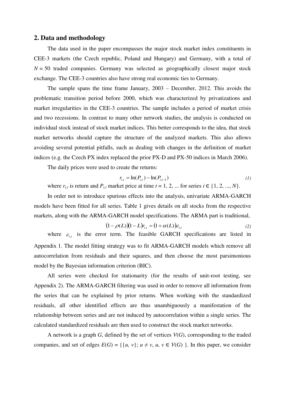#### **2. Data and methodology**

The data used in the paper encompasses the major stock market index constituents in CEE-3 markets (the Czech republic, Poland and Hungary) and Germany, with a total of  $N = 50$  traded companies. Germany was selected as geographically closest major stock exchange. The CEE-3 countries also have strong real economic ties to Germany.

The sample spans the time frame January, 2003 – December, 2012. This avoids the problematic transition period before 2000, which was characterized by privatizations and market irregularities in the CEE-3 countries. The sample includes a period of market crisis and two recessions. In contrast to many other network studies, the analysis is conducted on individual stock instead of stock market indices. This better corresponds to the idea, that stock market networks should capture the structure of the analyzed markets. This also allows avoiding several potential pitfalls, such as dealing with changes in the definition of market indices (e.g. the Czech PX index replaced the prior PX-D and PX-50 indices in March 2006).

The daily prices were used to create the returns:

$$
r_{i,t} = \ln(P_{i,t}) - \ln(P_{i,t-1})
$$
\n(1)

where  $r_{i,t}$  is return and  $P_{i,t}$  market price at time  $t = 1, 2, ...$  for series  $i \in \{1, 2, ..., N\}$ .

In order not to introduce spurious effects into the analysis, univariate ARMA-GARCH models have been fitted for all series. Table 1 gives details on all stocks from the respective markets, along with the ARMA-GARCH model specifications. The ARMA part is traditional,

$$
(1 - \rho(L))(1 - L)r_{i,t} = (1 + \alpha(L))\varepsilon_{i,t}
$$
\n<sup>(2)</sup>

where  $\varepsilon_{i,t}$  is the error term. The feasible GARCH specifications are listed in Appendix 1. The model fitting strategy was to fit ARMA-GARCH models which remove all autocorrelation from residuals and their squares, and then choose the most parsimonious model by the Bayesian information criterion (BIC).

All series were checked for stationarity (for the results of unit-root testing, see Appendix 2). The ARMA-GARCH filtering was used in order to remove all information from the series that can be explained by prior returns. When working with the standardized residuals, all other identified effects are thus unambiguously a manifestation of the relationship between series and are not induced by autocorrelation within a single series. The calculated standardized residuals are then used to construct the stock market networks.

A network is a graph *G*, defined by the set of vertices *V*(*G*), corresponding to the traded companies, and set of edges  $E(G) = \{ \{u, v\}; u \neq v, u, v \in V(G) \}$ . In this paper, we consider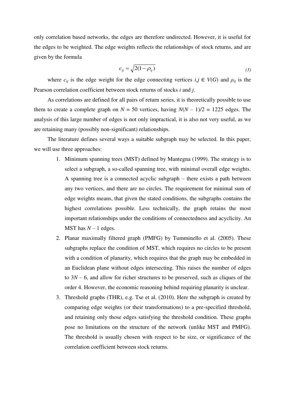only correlation based networks, the edges are therefore undirected. However, it is useful for the edges to be weighted. The edge weights reflects the relationships of stock returns, and are given by the formula

$$
c_{ij} = \sqrt{2(1 - \rho_{ij})} \tag{3}
$$

where  $c_{ij}$  is the edge weight for the edge connecting vertices  $i, j \in V(G)$  and  $\rho_{ij}$  is the Pearson correlation coefficient between stock returns of stocks *i* and *j*.

As correlations are defined for all pairs of return series, it is theoretically possible to use them to create a complete graph on  $N = 50$  vertices, having  $N(N - 1)/2 = 1225$  edges. The analysis of this large number of edges is not only impractical, it is also not very useful, as we are retaining many (possibly non-significant) relationships.

The literature defines several ways a suitable subgraph may be selected. In this paper, we will use three approaches:

- 1. Minimum spanning trees (MST) defined by Mantegna (1999). The strategy is to select a subgraph, a so-called spanning tree, with minimal overall edge weights. A spanning tree is a connected acyclic subgraph – there exists a path between any two vertices, and there are no circles. The requirement for minimal sum of edge weights means, that given the stated conditions, the subgraphs contains the highest correlations possible. Less technically, the graph retains the most important relationships under the conditions of connectedness and acyclicity. An MST has *N* – 1 edges.
- 2. Planar maximally filtered graph (PMFG) by Tumminello et al. (2005). These subgraphs replace the condition of MST, which requires no circles to be present with a condition of planarity, which requires that the graph may be embedded in an Euclidean plane without edges intersecting. This raises the number of edges to  $3N - 6$ , and allow for richer structures to be preserved, such as cliques of the order 4. However, the economic reasoning behind requiring planarity is unclear.
- 3. Threshold graphs (THR), e.g. Tse et al. (2010). Here the subgraph is created by comparing edge weights (or their transformations) to a pre-specified threshold, and retaining only those edges satisfying the threshold condition. These graphs pose no limitations on the structure of the network (unlike MST and PMFG). The threshold is usually chosen with respect to he size, or significance of the correlation coefficient between stock returns.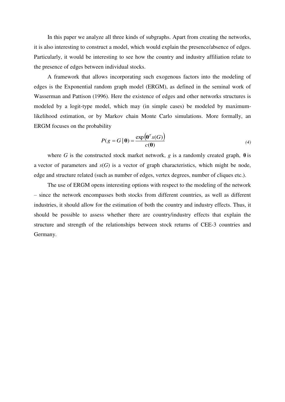In this paper we analyze all three kinds of subgraphs. Apart from creating the networks, it is also interesting to construct a model, which would explain the presence/absence of edges. Particularly, it would be interesting to see how the country and industry affiliation relate to the presence of edges between individual stocks.

A framework that allows incorporating such exogenous factors into the modeling of edges is the Exponential random graph model (ERGM), as defined in the seminal work of Wasserman and Pattison (1996). Here the existence of edges and other networks structures is modeled by a logit-type model, which may (in simple cases) be modeled by maximumlikelihood estimation, or by Markov chain Monte Carlo simulations. More formally, an ERGM focuses on the probability

$$
P(g = G | \mathbf{\theta}) = \frac{\exp(\mathbf{\theta}^T s(G))}{c(\mathbf{\theta})}
$$
(4)

where *G* is the constructed stock market network, *g* is a randomly created graph,  $\theta$  is a vector of parameters and  $s(G)$  is a vector of graph characteristics, which might be node, edge and structure related (such as number of edges, vertex degrees, number of cliques etc.).

The use of ERGM opens interesting options with respect to the modeling of the network – since the network encompasses both stocks from different countries, as well as different industries, it should allow for the estimation of both the country and industry effects. Thus, it should be possible to assess whether there are country/industry effects that explain the structure and strength of the relationships between stock returns of CEE-3 countries and Germany.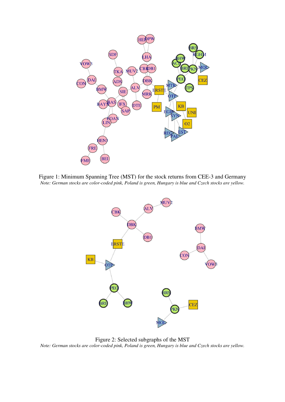

Figure 1: Minimum Spanning Tree (MST) for the stock returns from CEE-3 and Germany *Note: German stocks are color-coded pink, Poland is green, Hungary is blue and Czech stocks are yellow.* 



Figure 2: Selected subgraphs of the MST *Note: German stocks are color-coded pink, Poland is green, Hungary is blue and Czech stocks are yellow.*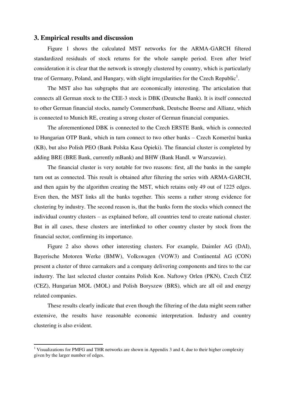#### **3. Empirical results and discussion**

Figure 1 shows the calculated MST networks for the ARMA-GARCH filtered standardized residuals of stock returns for the whole sample period. Even after brief consideration it is clear that the network is strongly clustered by country, which is particularly true of Germany, Poland, and Hungary, with slight irregularities for the Czech Republic<sup>1</sup>.

The MST also has subgraphs that are economically interesting. The articulation that connects all German stock to the CEE-3 stock is DBK (Deutsche Bank). It is itself connected to other German financial stocks, namely Commerzbank, Deutsche Boerse and Allianz, which is connected to Munich RE, creating a strong cluster of German financial companies.

The aforementioned DBK is connected to the Czech ERSTE Bank, which is connected to Hungarian OTP Bank, which in turn connect to two other banks – Czech Komerční banka (KB), but also Polish PEO (Bank Polska Kasa Opieki). The financial cluster is completed by adding BRE (BRE Bank, currently mBank) and BHW (Bank Handl. w Warszawie).

The financial cluster is very notable for two reasons: first, all the banks in the sample turn out as connected. This result is obtained after filtering the series with ARMA-GARCH, and then again by the algorithm creating the MST, which retains only 49 out of 1225 edges. Even then, the MST links all the banks together. This seems a rather strong evidence for clustering by industry. The second reason is, that the banks form the stocks which connect the individual country clusters – as explained before, all countries tend to create national cluster. But in all cases, these clusters are interlinked to other country cluster by stock from the financial sector, confirming its importance.

Figure 2 also shows other interesting clusters. For example, Daimler AG (DAI), Bayerische Motoren Werke (BMW), Volkswagen (VOW3) and Continental AG (CON) present a cluster of three carmakers and a company delivering components and tires to the car industry. The last selected cluster contains Polish Kon. Naftowy Orlen (PKN), Czech ČEZ (CEZ), Hungarian MOL (MOL) and Polish Boryszew (BRS), which are all oil and energy related companies.

These results clearly indicate that even though the filtering of the data might seem rather extensive, the results have reasonable economic interpretation. Industry and country clustering is also evident.

l

<sup>&</sup>lt;sup>1</sup> Visualizations for PMFG and THR networks are shown in Appendix 3 and 4, due to their higher complexity given by the larger number of edges.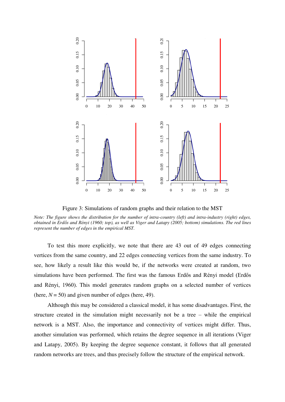

Figure 3: Simulations of random graphs and their relation to the MST

*Note: The figure shows the distribution for the number of intra-country (left) and intra-industry (right) edges, obtained in Erdős and Rényi (1960; top), as well as Viger and Latapy (2005; bottom) simulations. The red lines represent the number of edges in the empirical MST.* 

To test this more explicitly, we note that there are 43 out of 49 edges connecting vertices from the same country, and 22 edges connecting vertices from the same industry. To see, how likely a result like this would be, if the networks were created at random, two simulations have been performed. The first was the famous Erdős and Rényi model (Erdős and Rényi, 1960). This model generates random graphs on a selected number of vertices (here,  $N = 50$ ) and given number of edges (here, 49).

Although this may be considered a classical model, it has some disadvantages. First, the structure created in the simulation might necessarily not be a tree – while the empirical network is a MST. Also, the importance and connectivity of vertices might differ. Thus, another simulation was performed, which retains the degree sequence in all iterations (Viger and Latapy, 2005). By keeping the degree sequence constant, it follows that all generated random networks are trees, and thus precisely follow the structure of the empirical network.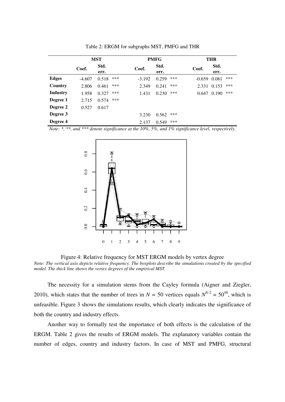|                 | <b>MST</b> |              | <b>PMFG</b> |          |              | <b>THR</b> |          |              |     |
|-----------------|------------|--------------|-------------|----------|--------------|------------|----------|--------------|-----|
|                 | Coef.      | Std.<br>err. |             | Coef.    | Std.<br>err. |            | Coef.    | Std.<br>err. |     |
| <b>Edges</b>    | $-4.607$   | 0.518        | ***         | $-3.192$ | 0.259        | ***        | $-0.659$ | 0.081        | *** |
| Country         | 2.806      | 0.461        | ***         | 2.349    | 0.241        | ***        | 2.331    | 0.153        | *** |
| <b>Industry</b> | 1.958      | 0.327        | ***         | 1.431    | 0.230        | ***        | 0.647    | 0.190        | *** |
| Degree 1        | 2.715      | 0.574        | ***         |          |              |            |          |              |     |
| Degree 2        | 0.527      | 0.617        |             |          |              |            |          |              |     |
| Degree 3        |            |              |             | 3.230    | 0.562        | ***        |          |              |     |
| Degree 4        |            |              |             | 2.137    | 0.549        | ***        |          |              |     |

Table 2: ERGM for subgraphs MST, PMFG and THR

*Note: \*, \*\*, and \*\*\* denote significance at the 10%, 5%, and 1% significance level, respectively.*



Figure 4: Relative frequency for MST ERGM models by vertex degree

*Note: The vertical axis depicts relative frequency. The boxplots describe the simulations created by the specified model. The thick line shows the vertex degrees of the empirical MST.* 

The necessity for a simulation stems from the Cayley formula (Aigner and Ziegler, 2010), which states that the number of trees in  $N = 50$  vertices equals  $N^{N-2} = 50^{48}$ , which is unfeasible. Figure 3 shows the simulations results, which clearly indicates the significance of both the country and industry effects.

Another way to formally test the importance of both effects is the calculation of the ERGM. Table 2 gives the results of ERGM models. The explanatory variables contain the number of edges, country and industry factors. In case of MST and PMFG, structural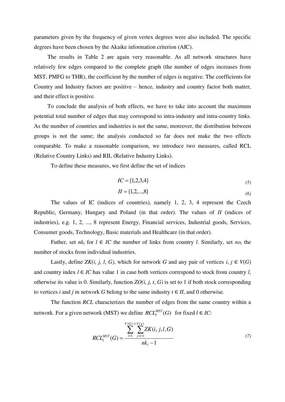parameters given by the frequency of given vertex degrees were also included. The specific degrees have been chosen by the Akaike information criterion (AIC).

The results in Table 2 are again very reasonable. As all network structures have relatively few edges compared to the complete graph (the number of edges increases from MST, PMFG to THR), the coefficient by the number of edges is negative. The coefficients for Country and Industry factors are positive – hence, industry and country factor both matter, and their effect is positive.

To conclude the analysis of both effects, we have to take into account the maximum potential total number of edges that may correspond to intra-industry and intra-country links. As the number of countries and industries is not the same, moreover, the distribution between groups is not the same; the analysis conducted so far does not make the two effects comparable. To make a reasonable comparison, we introduce two measures, called RCL (Relative Country Links) and RIL (Relative Industry Links).

To define these measures, we first define the set of indices

$$
IC = \{1, 2, 3, 4\} \tag{5}
$$

$$
II = \{1, 2, \dots, 8\} \tag{6}
$$

The values of IC (indices of countries), namely 1, 2, 3, 4 represent the Czech Republic, Germany, Hungary and Poland (in that order). The values of *II* (indices of industries), e.g. 1, 2, ..., 8 represent Energy, Financial services, Industrial goods, Services, Consumer goods, Technology, Basic materials and Healthcare (in that order).

Futher, set  $nk_l$  for  $l \in IC$  the number of links from country *l*. Similarly, set  $no_t$  the number of stocks from individual industries.

Lastly, define *ZK(i, j, l, G)*, which for network *G* and any pair of vertices  $i, j \in V(G)$ and country index  $l \in IC$  has value 1 in case both vertices correspond to stock from country *l*, otherwise its value is 0. Similarly, function *ZO(i, j, t*, *G)* is set to 1 if both stock corresponding to vertices *i* and *j* in network *G* belong to the same industry  $t \in H$ , and 0 otherwise.

The function *RCL* characterizes the number of edges from the same country within a network. For a given network (MST) we define  $RCL_l^{MST}(G)$  $\int_l^{MST}(G)$  for fixed  $l \in IC$ :

$$
RCL_{l}^{MST}(G) = \frac{\sum_{i=1}^{V(G)-1} \sum_{j=i+1}^{V(g)} ZK(i, j, l, G)}{nk_{l} - 1}
$$
(7)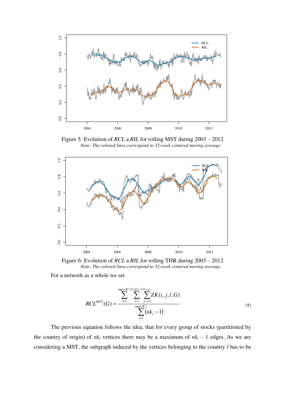

Figure 5: Evolution of *RCL* a *RIL* for rolling MST during 2003 – 2012 *Note: The colored lines correspond to 32-week centered moving average.* 



Figure 6: Evolution of *RCL* a *RIL* for rolling THR during 2003 – 2012 *Note: The colored lines correspond to 32-week centered moving average.* 

For a network as a whole we set

$$
RCL^{MST}(G) = \frac{\sum_{l=1}^{\max(IC)} \sum_{i=1}^{V(G)-1} \sum_{j=i+1}^{V(g)} ZK(i, j, l, G)}{\sum_{l=1}^{\max(IC)} (nk_l - 1)}
$$
(8)

The previous equation follows the idea, that for every group of stocks (partitioned by the country of origin) of  $nk_l$  vertices there may be a maximum of  $nk_l - 1$  edges. As we are considering a MST, the subgraph induced by the vertices belonging to the country *l* has to be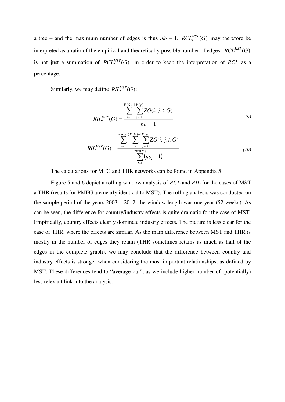a tree – and the maximum number of edges is thus  $nk_l - 1$ .  $RCL_l^{MST}(G)$  may therefore be interpreted as a ratio of the empirical and theoretically possible number of edges.  $RCL^{MST}(G)$ is not just a summation of  $RCL<sub>l</sub><sup>MST</sup>(G)$  $\binom{MST}{l}(G)$ , in order to keep the interpretation of *RCL* as a percentage.

Similarly, we may define  $\mathit{RIL}^{\textit{MST}}_l(G)$  $\frac{\mathit{MST}}{l}(G)$  :

$$
RIL_{t}^{MST}(G) = \frac{\sum_{i=1}^{V(G)-1} \sum_{j=i+1}^{V(g)} ZO(i, j, t, G)}{nO_{t} - 1}
$$
\n(9)

$$
RIL^{MST}(G) = \frac{\sum_{t=1}^{\max(H)} \sum_{i=1}^{V(G)-1} \sum_{j=i+1}^{V(g)} ZO(i, j, t, G)}{\sum_{t=1}^{\max(H)} (no_t - 1)}
$$
(10)

The calculations for MFG and THR networks can be found in Appendix 5.

Figure 5 and 6 depict a rolling window analysis of *RCL* and *RIL* for the cases of MST a THR (results for PMFG are nearly identical to MST). The rolling analysis was conducted on the sample period of the years  $2003 - 2012$ , the window length was one year (52 weeks). As can be seen, the difference for country/industry effects is quite dramatic for the case of MST. Empirically, country effects clearly dominate industry effects. The picture is less clear for the case of THR, where the effects are similar. As the main difference between MST and THR is mostly in the number of edges they retain (THR sometimes retains as much as half of the edges in the complete graph), we may conclude that the difference between country and industry effects is stronger when considering the most important relationships, as defined by MST. These differences tend to "average out", as we include higher number of (potentially) less relevant link into the analysis.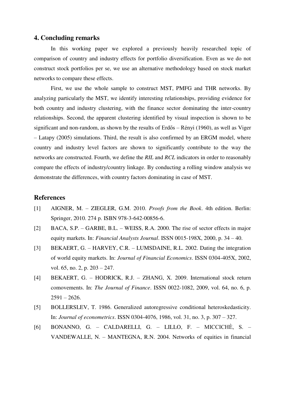#### **4. Concluding remarks**

In this working paper we explored a previously heavily researched topic of comparison of country and industry effects for portfolio diversification. Even as we do not construct stock portfolios per se, we use an alternative methodology based on stock market networks to compare these effects.

First, we use the whole sample to construct MST, PMFG and THR networks. By analyzing particularly the MST, we identify interesting relationships, providing evidence for both country and industry clustering, with the finance sector dominating the inter-country relationships. Second, the apparent clustering identified by visual inspection is shown to be significant and non-random, as shown by the results of Erdős – Rényi (1960), as well as Viger – Latapy (2005) simulations. Third, the result is also confirmed by an ERGM model, where country and industry level factors are shown to significantly contribute to the way the networks are constructed. Fourth, we define the *RIL* and *RCL* indicators in order to reasonably compare the effects of industry/country linkage. By conducting a rolling window analysis we demonstrate the differences, with country factors dominating in case of MST.

#### **References**

- [1] AIGNER, M. ZIEGLER, G.M. 2010. *Proofs from the Book*. 4th edition. Berlin: Springer, 2010. 274 p. ISBN 978-3-642-00856-6.
- [2] BACA, S.P. GARBE, B.L. WEISS, R.A. 2000. The rise of sector effects in major equity markets. In: *Financial Analysts Journal*. ISSN 0015-198X, 2000, p. 34 – 40.
- [3] BEKAERT, G. HARVEY, C.R. LUMSDAINE, R.L. 2002. Dating the integration of world equity markets. In: *Journal of Financial Economics*. ISSN 0304-405X, 2002, vol. 65, no. 2, p. 203 – 247.
- [4] BEKAERT, G. HODRICK, R.J. ZHANG, X. 2009. International stock return comovements. In: *The Journal of Finance*. ISSN 0022-1082, 2009, vol. 64, no. 6, p.  $2591 - 2626.$
- [5] BOLLERSLEV, T. 1986. Generalized autoregressive conditional heteroskedasticity. In: *Journal of econometrics*. ISSN 0304-4076, 1986, vol. 31, no. 3, p. 307 – 327.
- [6] BONANNO, G. CALDARELLI, G. LILLO, F. MICCICHÈ, S. VANDEWALLE, N. – MANTEGNA, R.N. 2004. Networks of equities in financial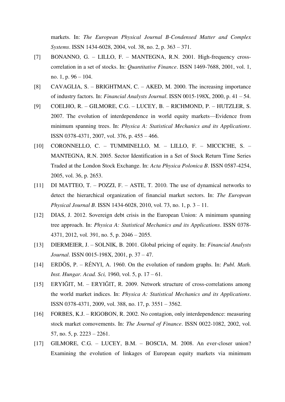markets. In: *The European Physical Journal B-Condensed Matter and Complex Systems*. ISSN 1434-6028, 2004, vol. 38, no. 2, p. 363 – 371.

- [7] BONANNO, G. LILLO, F. MANTEGNA, R.N. 2001. High-frequency crosscorrelation in a set of stocks. In: *Quantitative Finance*. ISSN 1469-7688, 2001, vol. 1, no. 1, p. 96 – 104.
- [8] CAVAGLIA, S. BRIGHTMAN, C. AKED, M. 2000. The increasing importance of industry factors. In: *Financial Analysts Journal*. ISSN 0015-198X, 2000, p. 41 – 54.
- [9] COELHO, R. GILMORE, C.G. LUCEY, B. RICHMOND, P. HUTZLER, S. 2007. The evolution of interdependence in world equity markets—Evidence from minimum spanning trees. In: *Physica A: Statistical Mechanics and its Applications*. ISSN 0378-4371, 2007, vol. 376, p. 455 – 466.
- [10] CORONNELLO, C. TUMMINELLO, M. LILLO, F. MICCICHE, S. MANTEGNA, R.N. 2005. Sector Identification in a Set of Stock Return Time Series Traded at the London Stock Exchange. In: *Acta Physica Polonica B*. ISSN 0587-4254, 2005, vol. 36, p. 2653.
- [11] DI MATTEO, T. POZZI, F. ASTE, T. 2010. The use of dynamical networks to detect the hierarchical organization of financial market sectors. In: *The European Physical Journal B*. ISSN 1434-6028, 2010, vol. 73, no. 1, p. 3 – 11.
- [12] DIAS, J. 2012. Sovereign debt crisis in the European Union: A minimum spanning tree approach. In: *Physica A: Statistical Mechanics and its Applications*. ISSN 0378- 4371, 2012, vol. 391, no. 5, p. 2046 – 2055.
- [13] DIERMEIER, J. SOLNIK, B. 2001. Global pricing of equity. In: *Financial Analysts Journal*. ISSN 0015-198X, 2001, p. 37 – 47.
- [14] ERDÖS, P. RÉNYI, A. 1960. On the evolution of random graphs. In: *Publ. Math. Inst. Hungar. Acad. Sci,* 1960, vol. 5, p. 17 – 61.
- [15] ERYIĞIT, M. ERYIĞIT, R. 2009. Network structure of cross-correlations among the world market indices. In: *Physica A: Statistical Mechanics and its Applications*. ISSN 0378-4371, 2009, vol. 388, no. 17, p. 3551 – 3562.
- [16] FORBES, K.J. RIGOBON, R. 2002. No contagion, only interdependence: measuring stock market comovements. In: *The Journal of Finance*. ISSN 0022-1082, 2002, vol. 57, no. 5, p. 2223 – 2261.
- [17] GILMORE, C.G. LUCEY, B.M. BOSCIA, M. 2008. An ever-closer union? Examining the evolution of linkages of European equity markets via minimum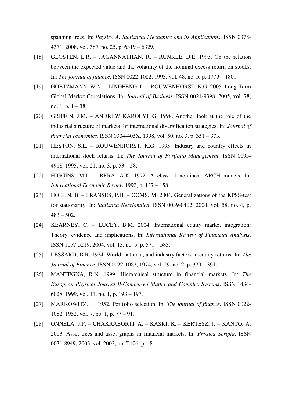spanning trees. In: *Physica A: Statistical Mechanics and its Applications*. ISSN 0378- 4371, 2008, vol. 387, no. 25, p. 6319 – 6329.

- [18] GLOSTEN, L.R. JAGANNATHAN, R. RUNKLE, D.E. 1993. On the relation between the expected value and the volatility of the nominal excess return on stocks. In: *The journal of finance*. ISSN 0022-1082, 1993, vol. 48, no. 5, p. 1779 – 1801.
- [19] GOETZMANN, W.N. LINGFENG, L. ROUWENHORST, K.G. 2005. Long-Term Global Market Correlations. In: *Journal of Business*. ISSN 0021-9398, 2005, vol. 78, no.  $1, p. 1 - 38$ .
- [20] GRIFFIN, J.M. ANDREW KAROLYI, G. 1998. Another look at the role of the industrial structure of markets for international diversification strategies. In: *Journal of financial economics*. ISSN 0304-405X, 1998, vol. 50, no. 3, p. 351 – 373.
- [21] HESTON, S.L. ROUWENHORST, K.G. 1995. Industry and country effects in international stock returns. In: *The Journal of Portfolio Management*. ISSN 0095- 4918, 1995, vol. 21, no. 3, p. 53 – 58.
- [22] HIGGINS, M.L. BERA, A.K. 1992. A class of nonlinear ARCH models. In: *International Economic Review* 1992, p. 137 – 158.
- [23] HOBIJN, B. FRANSES, P.H. OOMS, M. 2004. Generalizations of the KPSS-test for stationarity. In: *Statistica Neerlandica*. ISSN 0039-0402, 2004, vol. 58, no. 4, p.  $483 - 502$ .
- [24] KEARNEY, C. LUCEY, B.M. 2004. International equity market integration: Theory, evidence and implications. In: *International Review of Financial Analysis*. ISSN 1057-5219, 2004, vol. 13, no. 5, p. 571 – 583.
- [25] LESSARD, D.R. 1974. World, national, and industry factors in equity returns. In: *The Journal of Finance*. ISSN 0022-1082, 1974, vol. 29, no. 2, p. 379 – 391.
- [26] MANTEGNA, R.N. 1999. Hierarchical structure in financial markets. In: *The European Physical Journal B-Condensed Matter and Complex Systems*. ISSN 1434- 6028, 1999, vol. 11, no. 1, p. 193 – 197.
- [27] MARKOWITZ, H. 1952. Portfolio selection. In: *The journal of finance*. ISSN 0022- 1082, 1952, vol. 7, no. 1, p. 77 – 91.
- [28] ONNELA, J.P. CHAKRABORTI, A. KASKI, K. KERTESZ, J. KANTO, A. 2003. Asset trees and asset graphs in financial markets. In: *Physica Scripta*. ISSN 0031-8949, 2003, vol. 2003, no. T106, p. 48.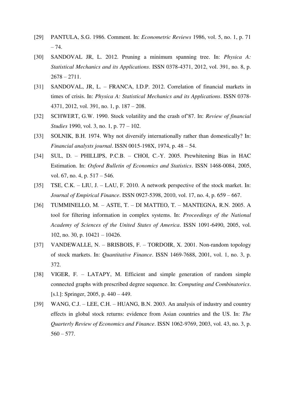- [29] PANTULA, S.G. 1986. Comment. In: *Econometric Reviews* 1986, vol. 5, no. 1, p. 71 – 74.
- [30] SANDOVAL JR, L. 2012. Pruning a minimum spanning tree. In: *Physica A: Statistical Mechanics and its Applications*. ISSN 0378-4371, 2012, vol. 391, no. 8, p.  $2678 - 2711.$
- [31] SANDOVAL, JR, L. FRANCA, I.D.P. 2012. Correlation of financial markets in times of crisis. In: *Physica A: Statistical Mechanics and its Applications*. ISSN 0378- 4371, 2012, vol. 391, no. 1, p. 187 – 208.
- [32] SCHWERT, G.W. 1990. Stock volatility and the crash of'87. In: *Review of financial Studies* 1990, vol. 3, no. 1, p. 77 – 102.
- [33] SOLNIK, B.H. 1974. Why not diversify internationally rather than domestically? In: *Financial analysts journal*. ISSN 0015-198X, 1974, p. 48 – 54.
- [34] SUL, D. PHILLIPS, P.C.B. CHOI, C.-Y. 2005. Prewhitening Bias in HAC Estimation. In: *Oxford Bulletin of Economics and Statistics*. ISSN 1468-0084, 2005, vol. 67, no. 4, p. 517 – 546.
- [35] TSE, C.K. LIU, J. LAU, F. 2010. A network perspective of the stock market. In: *Journal of Empirical Finance*. ISSN 0927-5398, 2010, vol. 17, no. 4, p. 659 – 667.
- [36] TUMMINELLO, M. ASTE, T. DI MATTEO, T. MANTEGNA, R.N. 2005. A tool for filtering information in complex systems. In: *Proceedings of the National Academy of Sciences of the United States of America*. ISSN 1091-6490, 2005, vol. 102, no. 30, p. 10421 – 10426.
- [37] VANDEWALLE, N. BRISBOIS, F. TORDOIR, X. 2001. Non-random topology of stock markets. In: *Quantitative Finance*. ISSN 1469-7688, 2001, vol. 1, no. 3, p. 372.
- [38] VIGER, F. LATAPY, M. Efficient and simple generation of random simple connected graphs with prescribed degree sequence. In: *Computing and Combinatorics*. [s.l.]: Springer, 2005, p. 440 – 449.
- [39] WANG, C.J. LEE, C.H. HUANG, B.N. 2003. An analysis of industry and country effects in global stock returns: evidence from Asian countries and the US. In: *The Quarterly Review of Economics and Finance*. ISSN 1062-9769, 2003, vol. 43, no. 3, p.  $560 - 577$ .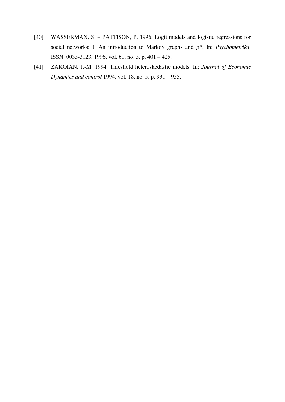- [40] WASSERMAN, S. PATTISON, P. 1996. Logit models and logistic regressions for social networks: I. An introduction to Markov graphs and *p*\*. In: *Psychometrika.*  ISSN: 0033-3123, 1996, vol. 61, no. 3, p. 401 – 425.
- [41] ZAKOIAN, J.-M. 1994. Threshold heteroskedastic models. In: *Journal of Economic Dynamics and control* 1994, vol. 18, no. 5, p. 931 – 955.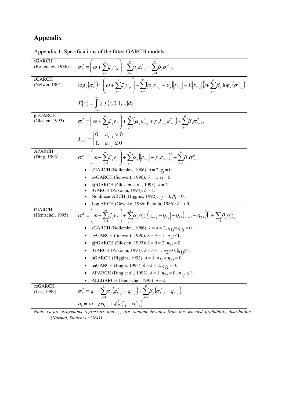### **Appendix**

Appendix 1: Specifications of the fitted GARCH models

| sGARCH<br>(Bollerslev, 1986)  | $\sigma_t^2 = \left(\omega + \sum_{i=1}^m \zeta_i v_{it}\right) + \sum_{i=1}^q \alpha_i \varepsilon_{t-j}^2 + \sum_{i=1}^p \beta_i \sigma_{t-j}^2,$                                                                                                                         |
|-------------------------------|-----------------------------------------------------------------------------------------------------------------------------------------------------------------------------------------------------------------------------------------------------------------------------|
| eGARCH<br>(Nelson, 1991)      | $\log_e(\sigma_i^2) = \left(\omega + \sum_{i=1}^m \zeta_i v_{it}\right) + \sum_{i=1}^q \left(\alpha_i z_{t-j} + \gamma_i \left( z_{t-j}  - E z_{t-j} \right)\right) + \sum_{i=1}^p \beta_i \log_e(\sigma_{t-j}^2)$                                                          |
|                               | $E z_t  = \int  z  f(z,0,1,) dz$                                                                                                                                                                                                                                            |
| gjrGARCH<br>(Glosten, 1993)   | $\sigma_t^2 = \left(\omega + \sum_{i=1}^m \zeta_j v_{jt}\right) + \sum_{j=1}^q \left(\alpha_j \varepsilon_{t-j}^2 + \gamma_j I_{t-j} \varepsilon_{t-j}^2\right) + \sum_{j=1}^p \beta_j \sigma_{t-j}^2,$                                                                     |
|                               | $I_{t-j} = \begin{cases} 0, & \varepsilon_{t-j} > 0 \\ 1, & \varepsilon_{t-j} \leq 0 \end{cases}$                                                                                                                                                                           |
| <b>APARCH</b><br>(Ding, 1993) | $\sigma_i^{\delta} = \left(\omega + \sum_{i=1}^m \zeta_i v_{ji}\right) + \sum_{i=1}^q \alpha_i \left(\varepsilon_{i-j} - \gamma_j \varepsilon_{i-j}\right)^{\delta} + \sum_{i=1}^p \beta_i \sigma_{i-j}^{\delta}$                                                           |
|                               | sGARCH (Bollerslev, 1986): $\delta = 2$ , $\gamma_i = 0$ .                                                                                                                                                                                                                  |
|                               | avGARCH (Schwert, 1990): $\delta = 1$ , $\gamma_i = 0$ .<br>$\bullet$                                                                                                                                                                                                       |
|                               | gjrGARCH (Glosten et al., 1993): $\delta$ = 2.                                                                                                                                                                                                                              |
|                               | tGARCH (Zakoian, 1994): $\delta = 1$ .                                                                                                                                                                                                                                      |
|                               | Nonlinear ARCH (Higgins, 1992): $\gamma_i = 0$ , $\beta_i = 0$ .<br>Log ARCH (Geweke, 1986; Pantula, 1986): $\delta \rightarrow 0$ .                                                                                                                                        |
| fGARCH                        |                                                                                                                                                                                                                                                                             |
| (Hentschel, 1995)             | $\sigma_{t}^{\lambda} = \left(\omega + \sum_{i=1}^{m} \zeta_{j} v_{ji}\right) + \sum_{i=1}^{q} \alpha_{j} \sigma_{t-1}^{\lambda} \left(z_{t-j} - \eta_{2j}\right) - \eta_{1j} \left(z_{t-j} - \eta_{2j}\right)^{\lambda} + \sum_{i=1}^{p} \beta_{j} \sigma_{t-j}^{\lambda}$ |
|                               | sGARCH (Bollerslev, 1986): $\lambda = \delta = 2$ , $\eta_{1j} = \eta_{2j} = 0$ .                                                                                                                                                                                           |
|                               | avGARCH (Schwert, 1990): $\lambda = \delta = 1$ , $ \eta_{1j}  \leq 1$ .                                                                                                                                                                                                    |
|                               | gjrGARCH (Glosten, 1993): $\lambda = \delta = 2$ , $\eta_{2i} = 0$ .                                                                                                                                                                                                        |
|                               | tGARCH (Zakoian, 1994): $\lambda = \delta = 1$ , $\eta_{2j} = 0$ , $ \eta_{1j}  \le 1$ .<br>$\bullet$                                                                                                                                                                       |
|                               | nGARCH (Higgins, 1992): $\delta = \lambda$ , $\eta_{1i} = \eta_{2i} = 0$ .                                                                                                                                                                                                  |
|                               | naGARCH (Engle, 1993): $\delta = \lambda = 2$ , $\eta_{1i} = 0$ .                                                                                                                                                                                                           |
|                               | APARCH (Ding et al., 1993): $\delta = \lambda$ , $\eta_{2j} = 0$ , $ \eta_{1j}  \le 1$ .                                                                                                                                                                                    |
|                               | ALLGARCH (Hentschel, 1995): $\delta = \lambda$ .                                                                                                                                                                                                                            |
| csGARCH<br>(Lee, 1999)        | $\sigma_t^2 = q_t + \sum_{i=1}^4 \alpha_i ( \varepsilon_{t-j}^2 - q_{t-j} ) + \sum_{i=1}^8 \beta_i ( \sigma_{t-j}^2 - q_{t-j} )$                                                                                                                                            |
|                               | $q_t = \omega + \rho q_{t-1} + \phi \left(\varepsilon_{t-1}^2 - \sigma_{t-1}^2\right)$                                                                                                                                                                                      |
|                               | Note: y. are exogenous regressors and $\varepsilon$ , are random deviates from the selected probability distribution                                                                                                                                                        |

*Note: vjt are exogenous regressors and εt-j are random deviates from the selected probability distribution (Normal, Student or GED).*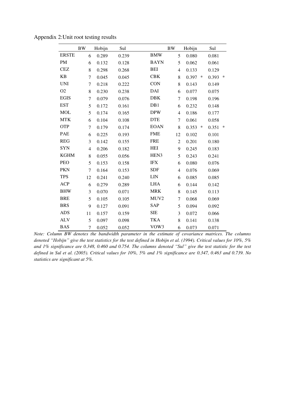|                | <b>BW</b>      | Hobijn | Sul   |                  | <b>BW</b>      | Hobijn | Sul                       |
|----------------|----------------|--------|-------|------------------|----------------|--------|---------------------------|
| <b>ERSTE</b>   | 6              | 0.289  | 0.239 | <b>BMW</b>       | 5              | 0.080  | 0.081                     |
| <b>PM</b>      | 6              | 0.132  | 0.128 | <b>BAYN</b>      | 5              | 0.062  | 0.061                     |
| <b>CEZ</b>     | 8              | 0.298  | 0.268 | <b>BEI</b>       | $\overline{4}$ | 0.133  | 0.129                     |
| <b>KB</b>      | $\overline{7}$ | 0.045  | 0.045 | <b>CBK</b>       | 8              | 0.397  | $\ast$<br>∗<br>0.393      |
| <b>UNI</b>     | $\overline{7}$ | 0.218  | 0.222 | <b>CON</b>       | 8              | 0.143  | 0.149                     |
| O <sub>2</sub> | 8              | 0.230  | 0.238 | DAI              | 6              | 0.077  | 0.075                     |
| <b>EGIS</b>    | $\overline{7}$ | 0.079  | 0.076 | <b>DBK</b>       | $\tau$         | 0.198  | 0.196                     |
| <b>EST</b>     | 5              | 0.172  | 0.161 | DB1              | 6              | 0.232  | 0.148                     |
| <b>MOL</b>     | 5              | 0.174  | 0.165 | <b>DPW</b>       | $\overline{4}$ | 0.186  | 0.177                     |
| <b>MTK</b>     | 6              | 0.104  | 0.108 | <b>DTE</b>       | $\tau$         | 0.061  | 0.058                     |
| <b>OTP</b>     | $\overline{7}$ | 0.179  | 0.174 | <b>EOAN</b>      | 8              | 0.353  | $\ast$<br>$\ast$<br>0.351 |
| <b>PAE</b>     | 6              | 0.225  | 0.193 | <b>FME</b>       | 12             | 0.102  | 0.101                     |
| <b>REG</b>     | 3              | 0.142  | 0.155 | <b>FRE</b>       | $\overline{2}$ | 0.201  | 0.180                     |
| <b>SYN</b>     | $\overline{4}$ | 0.206  | 0.182 | <b>HEI</b>       | 9              | 0.245  | 0.183                     |
| <b>KGHM</b>    | 8              | 0.055  | 0.056 | HEN3             | 5              | 0.243  | 0.241                     |
| PEO            | 5              | 0.153  | 0.158 | <b>IFX</b>       | 6              | 0.080  | 0.076                     |
| <b>PKN</b>     | $\tau$         | 0.164  | 0.153 | <b>SDF</b>       | $\overline{4}$ | 0.076  | 0.069                     |
| <b>TPS</b>     | 12             | 0.241  | 0.240 | <b>LIN</b>       | 6              | 0.085  | 0.085                     |
| <b>ACP</b>     | 6              | 0.279  | 0.289 | <b>LHA</b>       | 6              | 0.144  | 0.142                     |
| <b>BHW</b>     | 3              | 0.070  | 0.071 | <b>MRK</b>       | 8              | 0.145  | 0.113                     |
| <b>BRE</b>     | 5              | 0.105  | 0.105 | MUV <sub>2</sub> | 7              | 0.068  | 0.069                     |
| <b>BRS</b>     | 9              | 0.127  | 0.091 | <b>SAP</b>       | 5              | 0.094  | 0.092                     |
| <b>ADS</b>     | 11             | 0.157  | 0.159 | <b>SIE</b>       | 3              | 0.072  | 0.066                     |
| <b>ALV</b>     | 5              | 0.097  | 0.098 | <b>TKA</b>       | 8              | 0.141  | 0.138                     |
| <b>BAS</b>     | $\overline{7}$ | 0.052  | 0.052 | VOW3             | 6              | 0.073  | 0.071                     |

Appendix 2:Unit root testing results

*Note: Column BW denotes the bandwidth parameter in the estimate of covariance matrices. The columns denoted "Hobijn" give the test statistics for the test defined in Hobijn et al. (1994). Critical values for 10%, 5% and 1% significance are 0.348, 0.460 and 0.754. The columns denoted "Sul" give the test statistic for the test defined in Sul et al. (2005). Critical values for 10%, 5% and 1% significance are 0.347, 0.463 and 0.739. No statistics are significant at 5%.*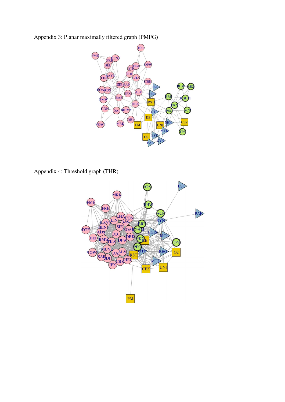Appendix 3: Planar maximally filtered graph (PMFG)



Appendix 4: Threshold graph (THR)